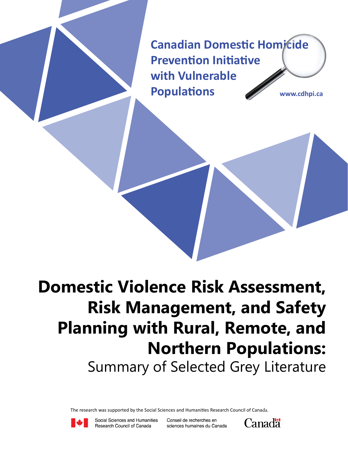**Canadian Domestic Homicide Prevention Initiative with Vulnerable Populations www.cdhpi.ca**

# **Domestic Violence Risk Assessment, Risk Management, and Safety Planning with Rural, Remote, and Northern Populations:** Summary of Selected Grey Literature

The research was supported by the Social Sciences and Humanities Research Council of Canada.



Social Sciences and Humanities Research Council of Canada

Conseil de recherches en sciences humaines du Canada

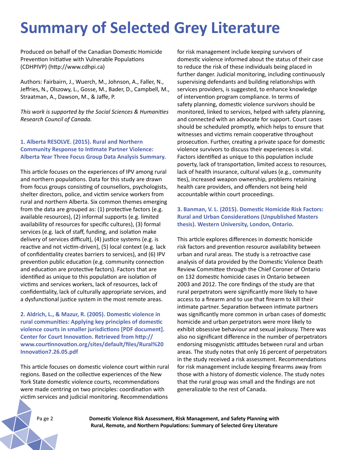# **Summary of Selected Grey Literature**

Produced on behalf of the Canadian Domestic Homicide Prevention Initiative with Vulnerable Populations (CDHPIVP) (http://www.cdhpi.ca)

Authors: Fairbairn, J., Wuerch, M., Johnson, A., Faller, N., Jeffries, N., Olszowy, L., Gosse, M., Bader, D., Campbell, M., Straatman, A., Dawson, M., & Jaffe, P.

*This work is supported by the Social Sciences & Humanities Research Council of Canada.*

# **1. Alberta RESOLVE. (2015). Rural and Northern Community Response to Intimate Partner Violence: Alberta Year Three Focus Group Data Analysis Summary.**

This article focuses on the experiences of IPV among rural and northern populations. Data for this study are drawn from focus groups consisting of counsellors, psychologists, shelter directors, police, and victim service workers from rural and northern Alberta. Six common themes emerging from the data are grouped as: (1) protective factors (e.g. available resources), (2) informal supports (e.g. limited availability of resources for specific cultures), (3) formal services (e.g. lack of staff, funding, and isolation make delivery of services difficult), (4) justice systems (e.g. is reactive and not victim-driven), (5) local context (e.g. lack of confidentiality creates barriers to services), and (6) IPV prevention public education (e.g. community connection and education are protective factors). Factors that are identified as unique to this population are isolation of victims and services workers, lack of resources, lack of confidentiality, lack of culturally appropriate services, and a dysfunctional justice system in the most remote areas.

**2. Aldrich, L., & Mazur, R. (2005). Domestic violence in rural communities: Applying key principles of domestic violence courts in smaller jurisdictions [PDF document]. Center for Court Innovation. Retrieved from http:// www.courtinnovation.org/sites/default/files/Rural%20 Innovation7.26.05.pdf**

This article focuses on domestic violence court within rural regions. Based on the collective experiences of the New York State domestic violence courts, recommendations were made centring on two principles: coordination with victim services and judicial monitoring. Recommendations

for risk management include keeping survivors of domestic violence informed about the status of their case to reduce the risk of these individuals being placed in further danger. Judicial monitoring, including continuously supervising defendants and building relationships with services providers, is suggested, to enhance knowledge of intervention program compliance. In terms of safety planning, domestic violence survivors should be monitored, linked to services, helped with safety planning, and connected with an advocate for support. Court cases should be scheduled promptly, which helps to ensure that witnesses and victims remain cooperative throughout prosecution. Further, creating a private space for domestic violence survivors to discuss their experiences is vital. Factors identified as unique to this population include poverty, lack of transportation, limited access to resources, lack of health insurance, cultural values (e.g., community ties), increased weapon ownership, problems retaining health care providers, and offenders not being held accountable within court proceedings.

### **3. Banman, V. L. (2015). Domestic Homicide Risk Factors: Rural and Urban Considerations (Unpublished Masters thesis). Western University, London, Ontario.**

This article explores differences in domestic homicide risk factors and prevention resource availability between urban and rural areas. The study is a retroactive case analysis of data provided by the Domestic Violence Death Review Committee through the Chief Coroner of Ontario on 132 domestic homicide cases in Ontario between 2003 and 2012. The core findings of the study are that rural perpetrators were significantly more likely to have access to a firearm and to use that firearm to kill their intimate partner. Separation between intimate partners was significantly more common in urban cases of domestic homicide and urban perpetrators were more likely to exhibit obsessive behaviour and sexual jealousy. There was also no significant difference in the number of perpetrators endorsing misogynistic attitudes between rural and urban areas. The study notes that only 16 percent of perpetrators in the study received a risk assessment. Recommendations for risk management include keeping firearms away from those with a history of domestic violence. The study notes that the rural group was small and the findings are not generalizable to the rest of Canada.

Pa ge 2 **Domestic Violence Risk Assessment, Risk Management, and Safety Planning with Rural, Remote, and Northern Populations: Summary of Selected Grey Literature**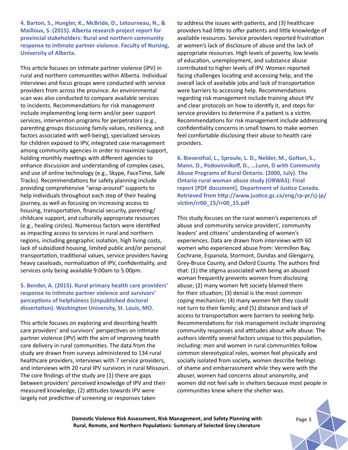**4. Barton, S., Hungler, K., McBride, D., Letourneau, N., & Mailloux, S. (2015). Alberta research project report for provincial stakeholders: Rural and northern community response to intimate partner violence. Faculty of Nursing, University of Alberta.** 

This article focuses on intimate partner violence (IPV) in rural and northern communities within Alberta. Individual interviews and focus groups were conducted with service providers from across the province. An environmental scan was also conducted to compare available services to incidents. Recommendations for risk management include implementing long-term and/or peer support services, intervention programs for perpetrators (e.g., parenting groups discussing family values, resiliency, and factors associated with well-being), specialized services for children exposed to IPV, integrated case management among community agencies in order to maximize support, holding monthly meetings with different agencies to enhance discussion and understanding of complex cases, and use of online technology (e.g., Skype, FaceTime, Safe Tracks). Recommendations for safety planning include providing comprehensive "wrap-around" supports to help individuals throughout each step of their healing journey, as well as focusing on increasing access to housing, transportation, financial security, parenting/ childcare support, and culturally appropriate resources (e.g., healing circles). Numerous factors were identified as impacting access to services in rural and northern regions, including geographic isolation, high living costs, lack of subsidized housing, limited public and/or personal transportation, traditional values, service providers having heavy caseloads, normalization of IPV, confidentiality, and services only being available 9:00am to 5:00pm.

### **5. Bender, A. (2015). Rural primary health care providers' response to intimate partner violence and survivors' perceptions of helpfulness (Unpublished doctoral dissertation). Washington University, St. Louis, MO.**

This article focuses on exploring and describing health care providers' and survivors' perspectives on intimate partner violence (IPV) with the aim of improving health care delivery in rural communities. The data from the study are drawn from surveys administered to 134 rural healthcare providers, interviews with 7 service providers, and interviews with 20 rural IPV survivors in rural Missouri. The core findings of the study are (1) there are gaps between providers' perceived knowledge of IPV and their measured knowledge, (2) attitudes towards IPV were largely not predictive of screening or responses taken

to address the issues with patients, and (3) healthcare providers had little to offer patients and little knowledge of available resources. Service providers reported frustration at women's lack of disclosure of abuse and the lack of appropriate resources. High levels of poverty, low levels of education, unemployment, and substance abuse contributed to higher levels of IPV. Women reported facing challenges locating and accessing help, and the overall lack of available jobs and lack of transportation were barriers to accessing help. Recommendations regarding risk management include training about IPV and clear protocols on how to identify it, and steps for service providers to determine if a patient is a victim. Recommendations for risk management include addressing confidentiality concerns in small towns to make women feel comfortable disclosing their abuse to health care providers.

**6. Biesenthal, L., Sproule, L. D., Nelder, M., Golton, S., Mann, D., Podovinnikoff, D., …Lunn, D with Community Abuse Programs of Rural Ontario. (2000, July). The Ontario rural woman abuse study (ORWAS): Final report [PDF document]. Department of Justice Canada. Retrieved from http://www.justice.gc.ca/eng/rp-pr/cj-jp/ victim/rr00\_15/rr00\_15.pdf**

This study focuses on the rural women's experiences of abuse and community service providers', community leaders' and citizens' understanding of women's experiences. Data are drawn from interviews with 60 women who experienced abuse from: Vermillon Bay, Cochrane, Espanola, Stormont, Dundas and Glengarry, Grey-Bruce County, and Oxford County. The authors find that: (1) the stigma associated with being an abused woman frequently prevents women from disclosing abuse; (2) many women felt society blamed them for their situation; (3) denial is the most common coping mechanism; (4) many women felt they could not turn to their family; and (5) distance and lack of access to transportation were barriers to seeking help. Recommendations for risk management include improving community responses and attitudes about wife abuse. The authors identify several factors unique to this population, including: men and women in rural communities follow common stereotypical roles, women feel physically and socially isolated from society, women describe feelings of shame and embarrassment while they were with the abuser, women had concerns about anonymity, and women did not feel safe in shelters because most people in communities knew where the shelter was.

**Domestic Violence Risk Assessment, Risk Management, and Safety Planning with** Page 3 **Rural, Remote, and Northern Populations: Summary of Selected Grey Literature**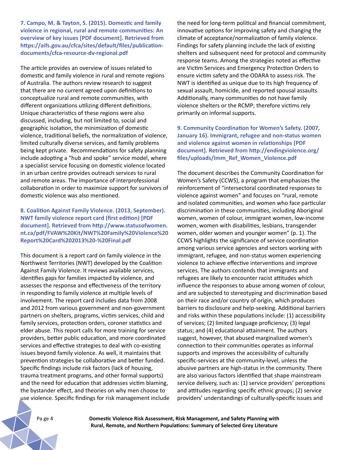**7. Campo, M. & Tayton, S. (2015). Domestic and family violence in regional, rural and remote communities: An overview of key issues [PDF document]. Retrieved from https://aifs.gov.au/cfca/sites/default/files/publicationdocuments/cfca-resource-dv-regional.pdf**

The article provides an overview of issues related to domestic and family violence in rural and remote regions of Australia. The authors review research to suggest that there are no current agreed upon definitions to conceptualize rural and remote communities, with different organizations utilizing different definitions. Unique characteristics of these regions were also discussed, including, but not limited to, social and geographic isolation, the minimization of domestic violence, traditional beliefs, the normalization of violence, limited culturally diverse services, and family problems being kept private. Recommendations for safety planning include adopting a "hub and spoke" service model, where a specialist service focusing on domestic violence located in an urban centre provides outreach services to rural and remote areas. The importance of interprofessional collaboration in order to maximize support for survivors of domestic violence was also mentioned.

# **8. Coalition Against Family Violence. (2013, September). NWT family violence report card (first edition) [PDF document]. Retrieved from http://www.statusofwomen. nt.ca/pdf/FVAW%20Kit/NWT%20Family%20Violence%20 Report%20Card%202013%20-%20Final.pdf**

This document is a report card on family violence in the Northwest Territories (NWT) developed by the Coalition Against Family Violence. It reviews available services, identifies gaps for families impacted by violence, and assesses the response and effectiveness of the territory in responding to family violence at multiple levels of involvement. The report card includes data from 2008 and 2012 from various government and non-government partners on shelters, programs, victim services, child and family services, protection orders, coroner statistics and elder abuse. This report calls for more training for service providers, better public education, and more coordinated services and effective strategies to deal with co-existing issues beyond family violence. As well, it maintains that prevention strategies be collaborative and better funded. Specific findings include risk factors (lack of housing, trauma treatment programs, and other formal supports) and the need for education that addresses victim blaming, the bystander effect, and theories on why men choose to use violence. Specific findings for risk management include the need for long-term political and financial commitment, innovative options for improving safety and changing the climate of acceptance/normalization of family violence. Findings for safety planning include the lack of existing shelters and subsequent need for protocol and community response teams. Among the strategies noted as effective are Victim Services and Emergency Protection Orders to ensure victim safety and the ODARA to assess risk. The NWT is identified as unique due to its high frequency of sexual assault, homicide, and reported spousal assaults. Additionally, many communities do not have family violence shelters or the RCMP; therefore victims rely primarily on informal supports.

**9. Community Coordination for Women's Safety. (2007, January 16). Immigrant, refugee and non-status women and violence against women in relationships [PDF document]. Retrieved from http://endingviolence.org/ files/uploads/Imm\_Ref\_Women\_Violence.pdf**

The document describes the Community Coordination for Women's Safety (CCWS), a program that emphasizes the reinforcement of "intersectoral coordinated responses to violence against women" and focuses on "rural, remote and isolated communities, and women who face particular discrimination in these communities, including Aboriginal women, women of colour, immigrant women, low-income women, women with disabilities, lesbians, transgender women, older women and younger women" (p. 1). The CCWS highlights the significance of service coordination among various service agencies and sectors working with immigrant, refugee, and non-status women experiencing violence to achieve effective interventions and improve services. The authors contends that immigrants and refugees are likely to encounter racist attitudes which influence the responses to abuse among women of colour, and are subjected to stereotyping and discrimination based on their race and/or country of origin, which produces barriers to disclosure and help-seeking. Additional barriers and risks within these populations include: (1) accessibility of services; (2) limited language proficiency; (3) legal status; and (4) educational attainment. The authors suggest, however, that abused marginalized women's connection to their communities operates as informal supports and improves the accessibility of culturally specific-services at the community-level, unless the abusive partners are high-status in the community. There are also various factors identified that shape mainstream service delivery, such as: (1) service providers' perceptions and attitudes regarding specific ethnic groups; (2) service providers' understandings of culturally-specific issues and

Pa ge 4 **Domestic Violence Risk Assessment, Risk Management, and Safety Planning with Rural, Remote, and Northern Populations: Summary of Selected Grey Literature**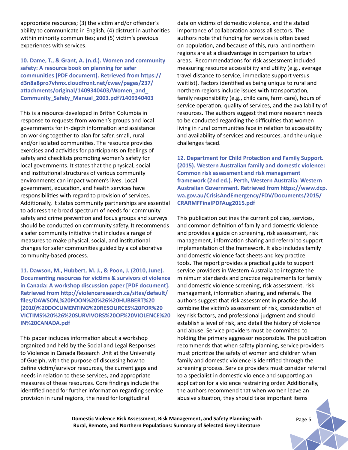appropriate resources; (3) the victim and/or offender's ability to communicate in English; (4) distrust in authorities within minority communities; and (5) victim's previous experiences with services.

**10. Dame, T., & Grant, A. (n.d.). Women and community safety: A resource book on planning for safer communities [PDF document]. Retrieved from https:// d3n8a8pro7vhmx.cloudfront.net/cwav/pages/237/ attachments/original/1409340403/Women\_and\_ Community\_Safety\_Manual\_2003.pdf?1409340403**

This is a resource developed in British Columbia in response to requests from women's groups and local governments for in-depth information and assistance on working together to plan for safer, small, rural and/or isolated communities. The resource provides exercises and activities for participants on feelings of safety and checklists promoting women's safety for local governments. It states that the physical, social and institutional structures of various community environments can impact women's lives. Local government, education, and health services have responsibilities with regard to provision of services. Additionally, it states community partnerships are essential to address the broad spectrum of needs for community safety and crime prevention and focus groups and surveys should be conducted on community safety. It recommends a safer community initiative that includes a range of measures to make physical, social, and institutional changes for safer communities guided by a collaborative community-based process.

**11. Dawson, M., Hubbert, M. J., & Poon, J. (2010, June). Documenting resources for victims & survivors of violence in Canada: A workshop discussion paper [PDF document]. Retrieved from http://violenceresearch.ca/sites/default/ files/DAWSON,%20POON%20%26%20HUBBERT%20 (2010)%20DOCUMENTING%20RESOURCES%20FOR%20 VICTIMS%20%26%20SURVIVORS%20OF%20VIOLENCE%20 IN%20CANADA.pdf**

This paper includes information about a workshop organized and held by the Social and Legal Responses to Violence in Canada Research Unit at the University of Guelph, with the purpose of discussing how to define victim/survivor resources, the current gaps and needs in relation to these services, and appropriate measures of these resources. Core findings include the identified need for further information regarding service provision in rural regions, the need for longitudinal

data on victims of domestic violence, and the stated importance of collaboration across all sectors. The authors note that funding for services is often based on population, and because of this, rural and northern regions are at a disadvantage in comparison to urban areas. Recommendations for risk assessment included measuring resource accessibility and utility (e.g., average travel distance to service, immediate support versus waitlist). Factors identified as being unique to rural and northern regions include issues with transportation, family responsibility (e.g., child care, farm care), hours of service operation, quality of services, and the availability of resources. The authors suggest that more research needs to be conducted regarding the difficulties that women living in rural communities face in relation to accessibility and availability of services and resources, and the unique challenges faced.

**12. Department for Child Protection and Family Support. (2015). Western Australian family and domestic violence: Common risk assessment and risk management framework (2nd ed.). Perth, Western Australia: Western Australian Government. Retrieved from https://www.dcp. wa.gov.au/CrisisAndEmergency/FDV/Documents/2015/ CRARMFFinalPDFAug2015.pdf**

This publication outlines the current policies, services, and common definition of family and domestic violence and provides a guide on screening, risk assessment, risk management, information sharing and referral to support implementation of the framework. It also includes family and domestic violence fact sheets and key practice tools. The report provides a practical guide to support service providers in Western Australia to integrate the minimum standards and practice requirements for family and domestic violence screening, risk assessment, risk management, information sharing, and referrals. The authors suggest that risk assessment in practice should combine the victim's assessment of risk, consideration of key risk factors, and professional judgment and should establish a level of risk, and detail the history of violence and abuse. Service providers must be committed to holding the primary aggressor responsible. The publication recommends that when safety planning, service providers must prioritize the safety of women and children when family and domestic violence is identified through the screening process. Service providers must consider referral to a specialist in domestic violence and supporting an application for a violence restraining order. Additionally, the authors recommend that when women leave an abusive situation, they should take important items

**Domestic Violence Risk Assessment, Risk Management, and Safety Planning with** Page 5 **Rural, Remote, and Northern Populations: Summary of Selected Grey Literature**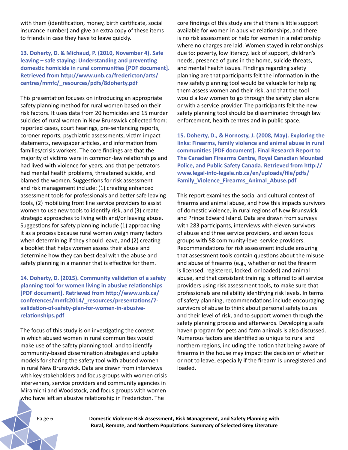with them (identification, money, birth certificate, social insurance number) and give an extra copy of these items to friends in case they have to leave quickly.

# **13. Doherty, D. & Michaud, P. (2010, November 4). Safe leaving – safe staying: Understanding and preventing domestic homicide in rural communities [PDF document]. Retrieved from http://www.unb.ca/fredericton/arts/ centres/mmfc/\_resources/pdfs/8doherty.pdf**

This presentation focuses on introducing an appropriate safety planning method for rural women based on their risk factors. It uses data from 20 homicides and 15 murder suicides of rural women in New Brunswick collected from: reported cases, court hearings, pre-sentencing reports, coroner reports, psychiatric assessments, victim impact statements, newspaper articles, and information from families/crisis workers. The core findings are that the majority of victims were in common-law relationships and had lived with violence for years, and that perpetrators had mental health problems, threatened suicide, and blamed the women. Suggestions for risk assessment and risk management include: (1) creating enhanced assessment tools for professionals and better safe leaving tools, (2) mobilizing front line service providers to assist women to use new tools to identify risk, and (3) create strategic approaches to living with and/or leaving abuse. Suggestions for safety planning include (1) approaching it as a process because rural women weigh many factors when determining if they should leave, and (2) creating a booklet that helps women assess their abuse and determine how they can best deal with the abuse and safety planning in a manner that is effective for them.

**14. Doherty, D. (2015). Community validation of a safety planning tool for women living in abusive relationships [PDF document]. Retrieved from http://www.unb.ca/ conferences/mmfc2014/\_resources/presentations/7 validation-of-safety-plan-for-women-in-abusiverelationships.pdf**

The focus of this study is on investigating the context in which abused women in rural communities would make use of the safety planning tool. and to identify community-based dissemination strategies and uptake models for sharing the safety tool with abused women in rural New Brunswick. Data are drawn from interviews with key stakeholders and focus groups with women crisis interveners, service providers and community agencies in Miramichi and Woodstock, and focus groups with women who have left an abusive relationship in Fredericton. The

core findings of this study are that there is little support available for women in abusive relationships, and there is no risk assessment or help for women in a relationship where no charges are laid. Women stayed in relationships due to: poverty, low literacy, lack of support, children's needs, presence of guns in the home, suicide threats, and mental health issues. Findings regarding safety planning are that participants felt the information in the new safety planning tool would be valuable for helping them assess women and their risk, and that the tool would allow women to go through the safety plan alone or with a service provider. The participants felt the new safety planning tool should be disseminated through law enforcement, health centres and in public space.

**15. Doherty, D., & Hornosty, J. (2008, May). Exploring the links: Firearms, family violence and animal abuse in rural communities [PDF document]. Final Research Report to The Canadian Firearms Centre, Royal Canadian Mounted Police, and Public Safety Canada. Retrieved from http:// www.legal-info-legale.nb.ca/en/uploads/file/pdfs/ Family\_Violence\_Firearms\_Animal\_Abuse.pdf**

This report examines the social and cultural context of firearms and animal abuse, and how this impacts survivors of domestic violence, in rural regions of New Brunswick and Prince Edward Island. Data are drawn from surveys with 283 participants, interviews with eleven survivors of abuse and three service providers, and seven focus groups with 58 community-level service providers. Recommendations for risk assessment include ensuring that assessment tools contain questions about the misuse and abuse of firearms (e.g., whether or not the firearm is licensed, registered, locked, or loaded) and animal abuse, and that consistent training is offered to all service providers using risk assessment tools, to make sure that professionals are reliability identifying risk levels. In terms of safety planning, recommendations include encouraging survivors of abuse to think about personal safety issues and their level of risk, and to support women through the safety planning process and afterwards. Developing a safe haven program for pets and farm animals is also discussed. Numerous factors are identified as unique to rural and northern regions, including the notion that being aware of firearms in the house may impact the decision of whether or not to leave, especially if the firearm is unregistered and loaded.

Pa ge 6 **Domestic Violence Risk Assessment, Risk Management, and Safety Planning with Rural, Remote, and Northern Populations: Summary of Selected Grey Literature**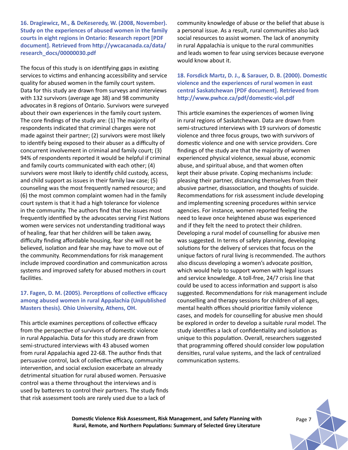**16. Dragiewicz, M., & DeKeseredy, W. (2008, November). Study on the experiences of abused women in the family courts in eight regions in Ontario: Research report [PDF document]. Retrieved from http://ywcacanada.ca/data/ research\_docs/00000030.pdf**

The focus of this study is on identifying gaps in existing services to victims and enhancing accessibility and service quality for abused women in the family court system. Data for this study are drawn from surveys and interviews with 132 survivors (average age 38) and 98 community advocates in 8 regions of Ontario. Survivors were surveyed about their own experiences in the family court system. The core findings of the study are: (1) The majority of respondents indicated that criminal charges were not made against their partner; (2) survivors were most likely to identify being exposed to their abuser as a difficulty of concurrent involvement in criminal and family court; (3) 94% of respondents reported it would be helpful if criminal and family courts communicated with each other; (4) survivors were most likely to identify child custody, access, and child support as issues in their family law case; (5) counseling was the most frequently named resource; and (6) the most common complaint women had in the family court system is that it had a high tolerance for violence in the community. The authors find that the issues most frequently identified by the advocates serving First Nations women were services not understanding traditional ways of healing, fear that her children will be taken away, difficulty finding affordable housing, fear she will not be believed, isolation and fear she may have to move out of the community. Recommendations for risk management include improved coordination and communication across systems and improved safety for abused mothers in court facilities.

# **17. Fagen, D. M. (2005). Perceptions of collective efficacy among abused women in rural Appalachia (Unpublished Masters thesis). Ohio University, Athens, OH.**

This article examines perceptions of collective efficacy from the perspective of survivors of domestic violence in rural Appalachia. Data for this study are drawn from semi-structured interviews with 43 abused women from rural Appalachia aged 22-68. The author finds that persuasive control, lack of collective efficacy, community intervention, and social exclusion exacerbate an already detrimental situation for rural abused women. Persuasive control was a theme throughout the interviews and is used by batterers to control their partners. The study finds that risk assessment tools are rarely used due to a lack of

community knowledge of abuse or the belief that abuse is a personal issue. As a result, rural communities also lack social resources to assist women. The lack of anonymity in rural Appalachia is unique to the rural communities and leads women to fear using services because everyone would know about it.

# **18. Forsdick Martz, D. J., & Sarauer, D. B. (2000). Domestic violence and the experiences of rural women in east central Saskatchewan [PDF document]. Retrieved from http://www.pwhce.ca/pdf/domestic-viol.pdf**

This article examines the experiences of women living in rural regions of Saskatchewan. Data are drawn from semi-structured interviews with 19 survivors of domestic violence and three focus groups, two with survivors of domestic violence and one with service providers. Core findings of the study are that the majority of women experienced physical violence, sexual abuse, economic abuse, and spiritual abuse, and that women often kept their abuse private. Coping mechanisms include: pleasing their partner, distancing themselves from their abusive partner, disassociation, and thoughts of suicide. Recommendations for risk assessment include developing and implementing screening procedures within service agencies. For instance, women reported feeling the need to leave once heightened abuse was experienced and if they felt the need to protect their children. Developing a rural model of counselling for abusive men was suggested. In terms of safety planning, developing solutions for the delivery of services that focus on the unique factors of rural living is recommended. The authors also discuss developing a women's advocate position, which would help to support women with legal issues and service knowledge. A toll-free, 24/7 crisis line that could be used to access information and support is also suggested. Recommendations for risk management include counselling and therapy sessions for children of all ages, mental health offices should prioritize family violence cases, and models for counselling for abusive men should be explored in order to develop a suitable rural model. The study identifies a lack of confidentiality and isolation as unique to this population. Overall, researchers suggested that programming offered should consider low population densities, rural value systems, and the lack of centralized communication systems.

**Domestic Violence Risk Assessment, Risk Management, and Safety Planning with Rural, Remote, and Northern Populations: Summary of Selected Grey Literature**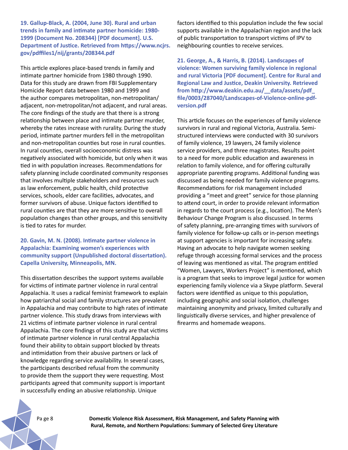**19. Gallup-Black, A. (2004, June 30). Rural and urban trends in family and intimate partner homicide: 1980- 1999 (Document No. 208344) [PDF document]. U.S. Department of Justice. Retrieved from https://www.ncjrs. gov/pdffiles1/nij/grants/208344.pdf**

This article explores place-based trends in family and intimate partner homicide from 1980 through 1990. Data for this study are drawn from FBI Supplementary Homicide Report data between 1980 and 1999 and the author compares metropolitan, non-metropolitan/ adjacent, non-metropolitan/not adjacent, and rural areas. The core findings of the study are that there is a strong relationship between place and intimate partner murder, whereby the rates increase with rurality. During the study period, intimate partner murders fell in the metropolitan and non-metropolitan counties but rose in rural counties. In rural counties, overall socioeconomic distress was negatively associated with homicide, but only when it was tied in with population increases. Recommendations for safety planning include coordinated community responses that involves multiple stakeholders and resources such as law enforcement, public health, child protective services, schools, elder care facilities, advocates, and former survivors of abuse. Unique factors identified to rural counties are that they are more sensitive to overall population changes than other groups, and this sensitivity is tied to rates for murder.

**20. Gavin, M. N. (2008). Intimate partner violence in Appalachia: Examining women's experiences with community support (Unpublished doctoral dissertation). Capella University, Minneapolis, MN.**

This dissertation describes the support systems available for victims of intimate partner violence in rural central Appalachia. It uses a radical feminist framework to explain how patriarchal social and family structures are prevalent in Appalachia and may contribute to high rates of intimate partner violence. This study draws from interviews with 21 victims of intimate partner violence in rural central Appalachia. The core findings of this study are that victims of intimate partner violence in rural central Appalachia found their ability to obtain support blocked by threats and intimidation from their abusive partners or lack of knowledge regarding service availability. In several cases, the participants described refusal from the community to provide them the support they were requesting. Most participants agreed that community support is important in successfully ending an abusive relationship. Unique

factors identified to this population include the few social supports available in the Appalachian region and the lack of public transportation to transport victims of IPV to neighbouring counties to receive services.

**21. George, A., & Harris, B. (2014). Landscapes of violence: Women surviving family violence in regional and rural Victoria [PDF document]. Centre for Rural and Regional Law and Justice, Deakin University. Retrieved from http://www.deakin.edu.au/\_\_data/assets/pdf\_ file/0003/287040/Landscapes-of-Violence-online-pdfversion.pdf**

This article focuses on the experiences of family violence survivors in rural and regional Victoria, Australia. Semistructured interviews were conducted with 30 survivors of family violence, 19 lawyers, 24 family violence service providers, and three magistrates. Results point to a need for more public education and awareness in relation to family violence, and for offering culturally appropriate parenting programs. Additional funding was discussed as being needed for family violence programs. Recommendations for risk management included providing a "meet and greet" service for those planning to attend court, in order to provide relevant information in regards to the court process (e.g., location). The Men's Behaviour Change Program is also discussed. In terms of safety planning, pre-arranging times with survivors of family violence for follow-up calls or in-person meetings at support agencies is important for increasing safety. Having an advocate to help navigate women seeking refuge through accessing formal services and the process of leaving was mentioned as vital. The program entitled "Women, Lawyers, Workers Project" is mentioned, which is a program that seeks to improve legal justice for women experiencing family violence via a Skype platform. Several factors were identified as unique to this population, including geographic and social isolation, challenges maintaining anonymity and privacy, limited culturally and linguistically diverse services, and higher prevalence of firearms and homemade weapons.

Pa ge 8 **Domestic Violence Risk Assessment, Risk Management, and Safety Planning with Rural, Remote, and Northern Populations: Summary of Selected Grey Literature**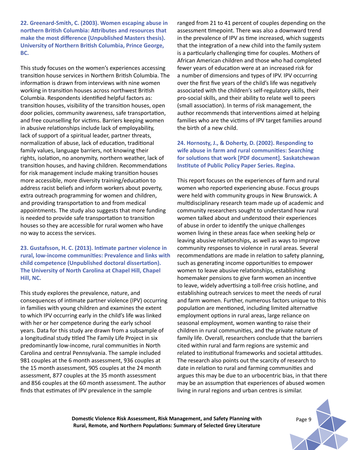**22. Greenard-Smith, C. (2003). Women escaping abuse in northern British Columbia: Attributes and resources that make the most difference (Unpublished Masters thesis). University of Northern British Columbia, Prince George, BC.**

This study focuses on the women's experiences accessing transition house services in Northern British Columbia. The information is drawn from interviews with nine women working in transition houses across northwest British Columbia. Respondents identified helpful factors as: transition houses, visibility of the transition houses, open door policies, community awareness, safe transportation, and free counselling for victims. Barriers keeping women in abusive relationships include lack of employability, lack of support of a spiritual leader, partner threats, normalization of abuse, lack of education, traditional family values, language barriers, not knowing their rights, isolation, no anonymity, northern weather, lack of transition houses, and having children. Recommendations for risk management include making transition houses more accessible, more diversity training/education to address racist beliefs and inform workers about poverty, extra outreach programming for women and children, and providing transportation to and from medical appointments. The study also suggests that more funding is needed to provide safe transportation to transition houses so they are accessible for rural women who have no way to access the services.

**23. Gustafsson, H. C. (2013). Intimate partner violence in rural, low-income communities: Prevalence and links with child competence (Unpublished doctoral dissertation). The University of North Carolina at Chapel Hill, Chapel Hill, NC.** 

This study explores the prevalence, nature, and consequences of intimate partner violence (IPV) occurring in families with young children and examines the extent to which IPV occurring early in the child's life was linked with her or her competence during the early school years. Data for this study are drawn from a subsample of a longitudinal study titled The Family Life Project in six predominantly low-income, rural communities in North Carolina and central Pennsylvania. The sample included 981 couples at the 6 month assessment, 936 couples at the 15 month assessment, 905 couples at the 24 month assessment, 877 couples at the 35 month assessment and 856 couples at the 60 month assessment. The author finds that estimates of IPV prevalence in the sample

ranged from 21 to 41 percent of couples depending on the assessment timepoint. There was also a downward trend in the prevalence of IPV as time increased, which suggests that the integration of a new child into the family system is a particularly challenging time for couples. Mothers of African American children and those who had completed fewer years of education were at an increased risk for a number of dimensions and types of IPV. IPV occurring over the first five years of the child's life was negatively associated with the children's self-regulatory skills, their pro-social skills, and their ability to relate well to peers (small association). In terms of risk management, the author recommends that interventions aimed at helping families who are the victims of IPV target families around the birth of a new child.

**24. Hornosty, J., & Doherty, D. (2002). Responding to wife abuse in farm and rural communities: Searching for solutions that work [PDF document]. Saskatchewan Institute of Public Policy Paper Series. Regina.**

This report focuses on the experiences of farm and rural women who reported experiencing abuse. Focus groups were held with community groups in New Brunswick. A multidisciplinary research team made up of academic and community researchers sought to understand how rural women talked about and understood their experiences of abuse in order to identify the unique challenges women living in these areas face when seeking help or leaving abusive relationships, as well as ways to improve community responses to violence in rural areas. Several recommendations are made in relation to safety planning, such as generating income opportunities to empower women to leave abusive relationships, establishing homemaker pensions to give farm women an incentive to leave, widely advertising a toll-free crisis hotline, and establishing outreach services to meet the needs of rural and farm women. Further, numerous factors unique to this population are mentioned, including limited alternative employment options in rural areas, large reliance on seasonal employment, women wanting to raise their children in rural communities, and the private nature of family life. Overall, researchers conclude that the barriers cited within rural and farm regions are systemic and related to institutional frameworks and societal attitudes. The research also points out the scarcity of research to date in relation to rural and farming communities and argues this may be due to an urbocentric bias, in that there may be an assumption that experiences of abused women living in rural regions and urban centres is similar.

**Domestic Violence Risk Assessment, Risk Management, and Safety Planning with** Page 9 **Rural, Remote, and Northern Populations: Summary of Selected Grey Literature**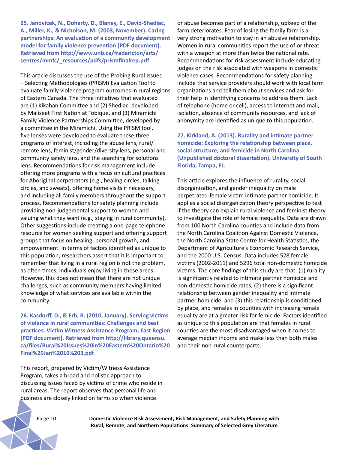**25. Janovicek, N., Doherty, D., Blaney, E., David-Shediac, A., Miller, K., & Nicholson, M. (2003, November). Caring partnerships: An evaluation of a community development model for family violence prevention [PDF document]. Retrieved from http://www.unb.ca/fredericton/arts/ centres/mmfc/\_resources/pdfs/prismfinalrep.pdf**

This article discusses the use of the Probing Rural Issues – Selecting Methodologies (PRISM) Evaluation Tool to evaluate family violence program outcomes in rural regions of Eastern Canada. The three initiatives that evaluated are (1) Kikahan Committee and (2) Shediac, developed by Maliseet First Nation at Tobique, and (3) Miramichi Family Violence Partnerships Committee, developed by a committee in the Miramichi. Using the PRISM tool, five lenses were developed to evaluate these three programs of interest, including the abuse lens, rural/ remote lens, feminist/gender/diversity lens, personal and community safety lens, and the searching for solutions lens. Recommendations for risk management include offering more programs with a focus on cultural practices for Aboriginal perpetrators (e.g., healing circles, talking circles, and sweats), offering home visits if necessary, and including all family members throughout the support process. Recommendations for safety planning include providing non-judgemental support to women and valuing what they want (e.g., staying in rural community). Other suggestions include creating a one-page telephone resource for women seeking support and offering support groups that focus on healing, personal growth, and empowerment. In terms of factors identified as unique to this population, researchers assert that it is important to remember that living in a rural region is not the problem, as often times, individuals enjoy living in these areas. However, this does not mean that there are not unique challenges, such as community members having limited knowledge of what services are available within the community.

**26. Kasdorff, D., & Erb, B. (2010, January). Serving victims of violence in rural communities: Challenges and best practices. Victim Witness Assistance Program, East Region [PDF document]. Retrieved from http://library.queensu. ca/files/Rural%20Issues%20in%20Eastern%20Ontario%20 Final%20Jan%2010%203.pdf**

This report, prepared by Victim/Witness Assistance Program, takes a broad and holistic approach to discussing issues faced by victims of crime who reside in rural areas. The report observes that personal life and business are closely linked on farms so when violence

or abuse becomes part of a relationship, upkeep of the farm deteriorates. Fear of losing the family farm is a very strong motivation to stay in an abusive relationship. Women in rural communities report the use of or threat with a weapon at more than twice the national rate. Recommendations for risk assessment include educating judges on the risk associated with weapons in domestic violence cases. Recommendations for safety planning include that service providers should work with local farm organizations and tell them about services and ask for their help in identifying concerns to address them. Lack of telephone (home or cell), access to Internet and mail, isolation, absence of community resources, and lack of anonymity are identified as unique to this population.

**27. Kirkland, A. (2013). Rurality and intimate partner homicide: Exploring the relationship between place, social structure, and femicide in North Carolina (Unpublished doctoral dissertation). University of South Florida, Tampa, FL.** 

This article explores the influence of rurality, social disorganization, and gender inequality on male perpetrated-female victim intimate partner homicide. It applies a social disorganization theory perspective to test if the theory can explain rural violence and feminist theory to investigate the role of female inequality. Data are drawn from 100 North Carolina counties and include data from the North Carolina Coalition Against Domestic Violence, the North Carolina State Centre for Health Statistics, the Department of Agriculture's Economic Research Service, and the 2000 U.S. Census. Data includes 528 female victims (2002-2011) and 5296 total non-domestic homicide victims. The core findings of this study are that: (1) rurality is significantly related to intimate partner homicide and non-domestic homicide rates, (2) there is a significant relationship between gender inequality and intimate partner homicide, and (3) this relationship is conditioned by place, and females in counties with increasing female equality are at a greater risk for femicide. Factors identified as unique to this population are that females in rural counties are the most disadvantaged when it comes to average median income and make less than both males and their non-rural counterparts.

Pa ge 10 **Domestic Violence Risk Assessment, Risk Management, and Safety Planning with Rural, Remote, and Northern Populations: Summary of Selected Grey Literature**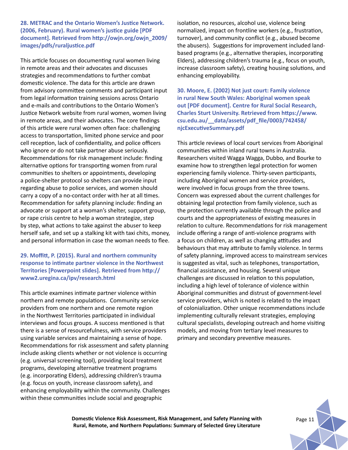**28. METRAC and the Ontario Women's Justice Network. (2006, February). Rural women's justice guide [PDF document]. Retrieved from http://owjn.org/owjn\_2009/ images/pdfs/ruraljustice.pdf**

This article focuses on documenting rural women living in remote areas and their advocates and discusses strategies and recommendations to further combat domestic violence. The data for this article are drawn from advisory committee comments and participant input from legal information training sessions across Ontario and e-mails and contributions to the Ontario Women's Justice Network website from rural women, women living in remote areas, and their advocates. The core findings of this article were rural women often face: challenging access to transportation, limited phone service and poor cell reception, lack of confidentiality, and police officers who ignore or do not take partner abuse seriously. Recommendations for risk management include: finding alternative options for transporting women from rural communities to shelters or appointments, developing a police-shelter protocol so shelters can provide input regarding abuse to police services, and women should carry a copy of a no-contact order with her at all times. Recommendation for safety planning include: finding an advocate or support at a woman's shelter, support group, or rape crisis centre to help a woman strategize, step by step, what actions to take against the abuser to keep herself safe, and set up a stalking kit with taxi chits, money, and personal information in case the woman needs to flee.

#### **29. Moffitt, P. (2015). Rural and northern community response to intimate partner violence in the Northwest Territories [Powerpoint slides]. Retrieved from http:// www2.uregina.ca/ipv/research.html**

This article examines intimate partner violence within northern and remote populations. Community service providers from one northern and one remote region in the Northwest Territories participated in individual interviews and focus groups. A success mentioned is that there is a sense of resourcefulness, with service providers using variable services and maintaining a sense of hope. Recommendations for risk assessment and safety planning include asking clients whether or not violence is occurring (e.g. universal screening tool), providing local treatment programs, developing alternative treatment programs (e.g. incorporating Elders), addressing children's trauma (e.g. focus on youth, increase classroom safety), and enhancing employability within the community. Challenges within these communities include social and geographic

isolation, no resources, alcohol use, violence being normalized, impact on frontline workers (e.g., frustration, turnover), and community conflict (e.g., abused become the abusers). Suggestions for improvement included landbased programs (e.g., alternative therapies, incorporating Elders), addressing children's trauma (e.g., focus on youth, increase classroom safety), creating housing solutions, and enhancing employability.

**30. Moore, E. (2002) Not just court: Family violence in rural New South Wales: Aboriginal women speak out [PDF document]. Centre for Rural Social Research, Charles Sturt University. Retrieved from https://www. csu.edu.au/\_\_data/assets/pdf\_file/0003/742458/ njcExecutiveSummary.pdf**

This article reviews of local court services from Aboriginal communities within inland rural towns in Australia. Researchers visited Wagga Wagga, Dubbo, and Bourke to examine how to strengthen legal protection for women experiencing family violence. Thirty-seven participants, including Aboriginal women and service providers, were involved in focus groups from the three towns. Concern was expressed about the current challenges for obtaining legal protection from family violence, such as the protection currently available through the police and courts and the appropriateness of existing measures in relation to culture. Recommendations for risk management include offering a range of anti-violence programs with a focus on children, as well as changing attitudes and behaviours that may attribute to family violence. In terms of safety planning, improved access to mainstream services is suggested as vital, such as telephones, transportation, financial assistance, and housing. Several unique challenges are discussed in relation to this population, including a high level of tolerance of violence within Aboriginal communities and distrust of government-level service providers, which is noted is related to the impact of colonialization. Other unique recommendations include implementing culturally relevant strategies, employing cultural specialists, developing outreach and home visiting models, and moving from tertiary level measures to primary and secondary preventive measures.

**Domestic Violence Risk Assessment, Risk Management, and Safety Planning with** Page 11 **Rural, Remote, and Northern Populations: Summary of Selected Grey Literature**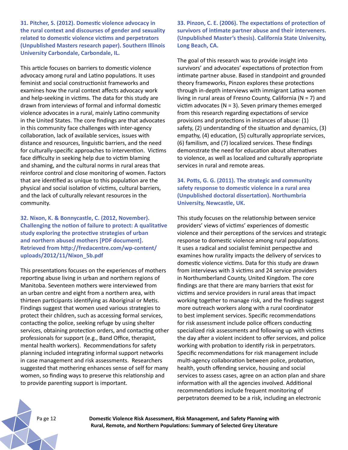**31. Pitcher, S. (2012). Domestic violence advocacy in the rural context and discourses of gender and sexuality related to domestic violence victims and perpetrators (Unpublished Masters research paper). Southern Illinois University Carbondale, Carbondale, IL.**

This article focuses on barriers to domestic violence advocacy among rural and Latino populations. It uses feminist and social constructionist frameworks and examines how the rural context affects advocacy work and help-seeking in victims. The data for this study are drawn from interviews of formal and informal domestic violence advocates in a rural, mainly Latino community in the United States. The core findings are that advocates in this community face challenges with inter-agency collaboration, lack of available services, issues with distance and resources, linguistic barriers, and the need for culturally-specific approaches to intervention. Victims face difficulty in seeking help due to victim blaming and shaming, and the cultural norms in rural areas that reinforce control and close monitoring of women. Factors that are identified as unique to this population are the physical and social isolation of victims, cultural barriers, and the lack of culturally relevant resources in the community.

**32. Nixon, K. & Bonnycastle, C. (2012, November). Challenging the notion of failure to protect: A qualitative study exploring the protective strategies of urban and northern abused mothers [PDF document]. Retrieved from http://fredacentre.com/wp-content/ uploads/2012/11/Nixon\_5b.pdf**

This presentations focuses on the experiences of mothers reporting abuse living in urban and northern regions of Manitoba. Seventeen mothers were interviewed from an urban centre and eight from a northern area, with thirteen participants identifying as Aboriginal or Metis. Findings suggest that women used various strategies to protect their children, such as accessing formal services, contacting the police, seeking refuge by using shelter services, obtaining protection orders, and contacting other professionals for support (e.g., Band Office, therapist, mental health workers). Recommendations for safety planning included integrating informal support networks in case management and risk assessments. Researchers suggested that mothering enhances sense of self for many women, so finding ways to preserve this relationship and to provide parenting support is important.

**33. Pinzon, C. E. (2006). The expectations of protection of survivors of intimate partner abuse and their interveners. (Unpublished Master's thesis). California State University, Long Beach, CA.**

The goal of this research was to provide insight into survivors' and advocates' expectations of protection from intimate partner abuse. Based in standpoint and grounded theory frameworks, Pinzon explores these protections through in-depth interviews with immigrant Latina women living in rural areas of Fresno County, California ( $N = 7$ ) and victim advocates ( $N = 3$ ). Seven primary themes emerged from this research regarding expectations of service provisions and protections in instances of abuse: (1) safety, (2) understanding of the situation and dynamics, (3) empathy, (4) education, (5) culturally appropriate services, (6) familism, and (7) localized services. These findings demonstrate the need for education about alternatives to violence, as well as localized and culturally appropriate services in rural and remote areas.

**34. Potts, G. G. (2011). The strategic and community safety response to domestic violence in a rural area (Unpublished doctoral dissertation). Northumbria University, Newcastle, UK.**

This study focuses on the relationship between service providers' views of victims' experiences of domestic violence and their perceptions of the services and strategic response to domestic violence among rural populations. It uses a radical and socialist feminist perspective and examines how rurality impacts the delivery of services to domestic violence victims. Data for this study are drawn from interviews with 3 victims and 24 service providers in Northumberland County, United Kingdom. The core findings are that there are many barriers that exist for victims and service providers in rural areas that impact working together to manage risk, and the findings suggest more outreach workers along with a rural coordinator to best implement services. Specific recommendations for risk assessment include police officers conducting specialized risk assessments and following up with victims the day after a violent incident to offer services, and police working with probation to identify risk in perpetrators. Specific recommendations for risk management include multi-agency collaboration between police, probation, health, youth offending service, housing and social services to assess cases, agree on an action plan and share information with all the agencies involved. Additional recommendations include frequent monitoring of perpetrators deemed to be a risk, including an electronic

Pa ge 12 **Domestic Violence Risk Assessment, Risk Management, and Safety Planning with Rural, Remote, and Northern Populations: Summary of Selected Grey Literature**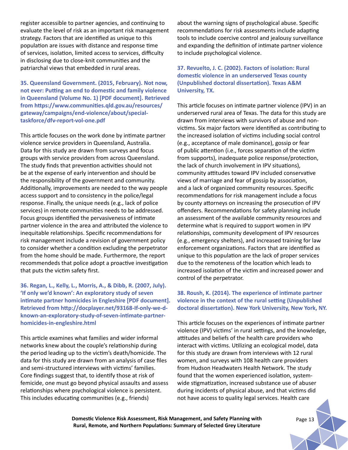register accessible to partner agencies, and continuing to evaluate the level of risk as an important risk management strategy. Factors that are identified as unique to this population are issues with distance and response time of services, isolation, limited access to services, difficulty in disclosing due to close-knit communities and the patriarchal views that embedded in rural areas.

**35. Queensland Government. (2015, February). Not now, not ever: Putting an end to domestic and family violence in Queensland (Volume No. 1) [PDF document]. Retrieved from https://www.communities.qld.gov.au/resources/ gateway/campaigns/end-violence/about/specialtaskforce/dfv-report-vol-one.pdf**

This article focuses on the work done by intimate partner violence service providers in Queensland, Australia. Data for this study are drawn from surveys and focus groups with service providers from across Queensland. The study finds that prevention activities should not be at the expense of early intervention and should be the responsibility of the government and community. Additionally, improvements are needed to the way people access support and to consistency in the police/legal response. Finally, the unique needs (e.g., lack of police services) in remote communities needs to be addressed. Focus groups identified the pervasiveness of intimate partner violence in the area and attributed the violence to inequitable relationships. Specific recommendations for risk management include a revision of government policy to consider whether a condition excluding the perpetrator from the home should be made. Furthermore, the report recommendeds that police adopt a proactive investigation that puts the victim safety first.

**36. Regan, L., Kelly, L., Morris, A., & Dibb, R. (2007, July). 'If only we'd known': An exploratory study of seven intimate partner homicides in Engleshire [PDF document]. Retrieved from http://docplayer.net/93168-If-only-we-dknown-an-exploratory-study-of-seven-intimate-partnerhomicides-in-engleshire.html**

This article examines what families and wider informal networks knew about the couple's relationship during the period leading up to the victim's death/homicide. The data for this study are drawn from an analysis of case files and semi-structured interviews with victims' families. Core findings suggest that, to identify those at risk of femicide, one must go beyond physical assaults and assess relationships where psychological violence is persistent. This includes educating communities (e.g., friends)

about the warning signs of psychological abuse. Specific recommendations for risk assessments include adapting tools to include coercive control and jealousy surveillance and expanding the definition of intimate partner violence to include psychological violence.

**37. Revuelto, J. C. (2002). Factors of isolation: Rural domestic violence in an underserved Texas county (Unpublished doctoral dissertation). Texas A&M University, TX.** 

This article focuses on intimate partner violence (IPV) in an underserved rural area of Texas. The data for this study are drawn from interviews with survivors of abuse and nonvictims. Six major factors were identified as contributing to the increased isolation of victims including social control (e.g., acceptance of male dominance), gossip or fear of public attention (i.e., forces separation of the victim from supports), inadequate police response/protection, the lack of church involvement in IPV situations), community attitudes toward IPV included conservative views of marriage and fear of gossip by association, and a lack of organized community resources. Specific recommendations for risk management include a focus by county attorneys on increasing the prosecution of IPV offenders. Recommendations for safety planning include an assessment of the available community resources and determine what is required to support women in IPV relationships, community development of IPV resources (e.g., emergency shelters), and increased training for law enforcement organizations. Factors that are identified as unique to this population are the lack of proper services due to the remoteness of the location which leads to increased isolation of the victim and increased power and control of the perpetrator.

#### **38. Roush, K. (2014). The experience of intimate partner violence in the context of the rural setting (Unpublished doctoral dissertation). New York University, New York, NY.**

This article focuses on the experiences of intimate partner violence (IPV) victims' in rural settings, and the knowledge, attitudes and beliefs of the health care providers who interact with victims. Utilizing an ecological model, data for this study are drawn from interviews with 12 rural women, and surveys with 108 health care providers from Hudson Headwaters Health Network. The study found that the women experienced isolation, systemwide stigmatization, increased substance use of abuser during incidents of physical abuse, and that victims did not have access to quality legal services. Health care

**Domestic Violence Risk Assessment, Risk Management, and Safety Planning with** Page 13 **Rural, Remote, and Northern Populations: Summary of Selected Grey Literature**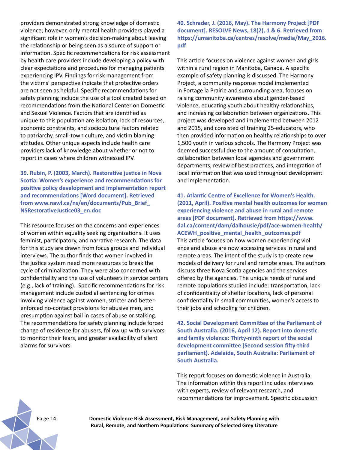providers demonstrated strong knowledge of domestic violence; however, only mental health providers played a significant role in women's decision-making about leaving the relationship or being seen as a source of support or information. Specific recommendations for risk assessment by health care providers include developing a policy with clear expectations and procedures for managing patients experiencing IPV. Findings for risk management from the victims' perspective indicate that protective orders are not seen as helpful. Specific recommendations for safety planning include the use of a tool created based on recommendations from the National Center on Domestic and Sexual Violence. Factors that are identified as unique to this population are isolation, lack of resources, economic constraints, and sociocultural factors related to patriarchy, small-town culture, and victim blaming attitudes. Other unique aspects include health care providers lack of knowledge about whether or not to report in cases where children witnessed IPV.

**39. Rubin, P. (2003, March). Restorative justice in Nova Scotia: Women's experience and recommendations for positive policy development and implementation report and recommendations [Word document]. Retrieved from www.nawl.ca/ns/en/documents/Pub\_Brief\_ NSRestorativeJustice03\_en.doc**

This resource focuses on the concerns and experiences of women within equality seeking organizations. It uses feminist, participatory, and narrative research. The data for this study are drawn from focus groups and individual interviews. The author finds that women involved in the justice system need more resources to break the cycle of criminalization. They were also concerned with confidentiality and the use of volunteers in service centers (e.g., lack of training). Specific recommendations for risk management include custodial sentencing for crimes involving violence against women, stricter and betterenforced no-contact provisions for abusive men, and presumption against bail in cases of abuse or stalking. The recommendations for safety planning include forced change of residence for abusers, follow up with survivors to monitor their fears, and greater availability of silent alarms for survivors.

**40. Schrader, J. (2016, May). The Harmony Project [PDF document]. RESOLVE News, 18(2), 1 & 6. Retrieved from https://umanitoba.ca/centres/resolve/media/May\_2016. pdf** 

This article focuses on violence against women and girls within a rural region in Manitoba, Canada. A specific example of safety planning is discussed. The Harmony Project, a community response model implemented in Portage la Prairie and surrounding area, focuses on raising community awareness about gender-based violence, educating youth about healthy relationships, and increasing collaboration between organizations. This project was developed and implemented between 2012 and 2015, and consisted of training 25-educators, who then provided information on healthy relationships to over 1,500 youth in various schools. The Harmony Project was deemed successful due to the amount of consultation, collaboration between local agencies and government departments, review of best practices, and integration of local information that was used throughout development and implementation.

**41. Atlantic Centre of Excellence for Women's Health. (2011, April). Positive mental health outcomes for women experiencing violence and abuse in rural and remote areas [PDF document]. Retrieved from https://www. dal.ca/content/dam/dalhousie/pdf/ace-women-health/ ACEWH\_positive\_mental\_health\_outcomes.pdf** This article focuses on how women experiencing viol ence and abuse are now accessing services in rural and remote areas. The intent of the study is to create new models of delivery for rural and remote areas. The authors discuss three Nova Scotia agencies and the services offered by the agencies. The unique needs of rural and remote populations studied include: transportation, lack of confidentiality of shelter locations, lack of personal confidentiality in small communities, women's access to their jobs and schooling for children.

**42. Social Development Committee of the Parliament of South Australia. (2016, April 12). Report into domestic and family violence: Thirty-ninth report of the social development committee (Second session fifty-third parliament). Adelaide, South Australia: Parliament of South Australia.**

This report focuses on domestic violence in Australia. The information within this report includes interviews with experts, review of relevant research, and recommendations for improvement. Specific discussion

Pa ge 14 **Domestic Violence Risk Assessment, Risk Management, and Safety Planning with Rural, Remote, and Northern Populations: Summary of Selected Grey Literature**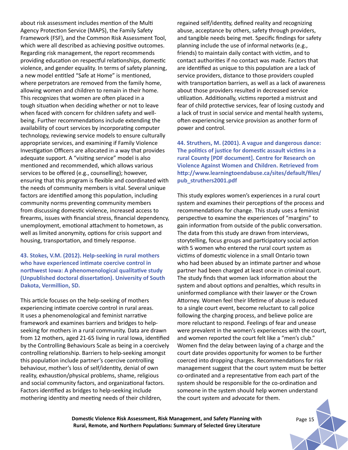about risk assessment includes mention of the Multi Agency Protection Service (MAPS), the Family Safety Framework (FSF), and the Common Risk Assessment Tool, which were all described as achieving positive outcomes. Regarding risk management, the report recommends providing education on respectful relationships, domestic violence, and gender equality. In terms of safety planning, a new model entitled "Safe at Home" is mentioned, where perpetrators are removed from the family home, allowing women and children to remain in their home. This recognizes that women are often placed in a tough situation when deciding whether or not to leave when faced with concern for children safety and wellbeing. Further recommendations include extending the availability of court services by incorporating computer technology, reviewing service models to ensure culturally appropriate services, and examining if Family Violence Investigation Officers are allocated in a way that provides adequate support. A "visiting service" model is also mentioned and recommended, which allows various services to be offered (e.g., counselling); however, ensuring that this program is flexible and coordinated with the needs of community members is vital. Several unique factors are identified among this population, including community norms preventing community members from discussing domestic violence, increased access to firearms, issues with financial stress, financial dependency, unemployment, emotional attachment to hometown, as well as limited anonymity, options for crisis support and housing, transportation, and timely response.

#### **43. Stokes, V.M. (2012). Help-seeking in rural mothers who have experienced intimate coercive control in northwest Iowa: A phenomenological qualitative study (Unpublished doctoral dissertation). University of South Dakota, Vermillion, SD.**

This article focuses on the help-seeking of mothers experiencing intimate coercive control in rural areas. It uses a phenomenological and feminist narrative framework and examines barriers and bridges to helpseeking for mothers in a rural community. Data are drawn from 12 mothers, aged 21-65 living in rural Iowa, identified by the Controlling Behaviours Scale as being in a coercively controlling relationship. Barriers to help-seeking amongst this population include partner's coercive controlling behaviour, mother's loss of self/identity, denial of own reality, exhaustion/physical problems, shame, religious and social community factors, and organizational factors. Factors identified as bridges to help-seeking include mothering identity and meeting needs of their children,

regained self/identity, defined reality and recognizing abuse, acceptance by others, safety through providers, and tangible needs being met. Specific findings for safety planning include the use of informal networks (e.g., friends) to maintain daily contact with victim, and to contact authorities if no contact was made. Factors that are identified as unique to this population are a lack of service providers, distance to those providers coupled with transportation barriers, as well as a lack of awareness about those providers resulted in decreased service utilization. Additionally, victims reported a mistrust and fear of child protective services, fear of losing custody and a lack of trust in social service and mental health systems, often experiencing service provision as another form of power and control.

**44. Struthers, M. (2001). A vague and dangerous dance: The politics of justice for domestic assault victims in a rural County [PDF document]. Centre for Research on Violence Against Women and Children. Retrieved from http://www.learningtoendabuse.ca/sites/default/files/ pub\_struthers2001.pdf**

This study explores women's experiences in a rural court system and examines their perceptions of the process and recommendations for change. This study uses a feminist perspective to examine the experiences of "margins" to gain information from outside of the public conversation. The data from this study are drawn from interviews, storytelling, focus groups and participatory social action with 5 women who entered the rural court system as victims of domestic violence in a small Ontario town who had been abused by an intimate partner and whose partner had been charged at least once in criminal court. The study finds that women lack information about the system and about options and penalties, which results in uninformed compliance with their lawyer or the Crown Attorney. Women feel their lifetime of abuse is reduced to a single court event, become reluctant to call police following the charging process, and believe police are more reluctant to respond. Feelings of fear and unease were prevalent in the women's experiences with the court, and women reported the court felt like a "men's club." Women find the delay between laying of a charge and the court date provides opportunity for women to be further coerced into dropping charges. Recommendations for risk management suggest that the court system must be better co-ordinated and a representative from each part of the system should be responsible for the co-ordination and someone in the system should help women understand the court system and advocate for them.

**Domestic Violence Risk Assessment, Risk Management, and Safety Planning with** *Page 15* **Rural, Remote, and Northern Populations: Summary of Selected Grey Literature**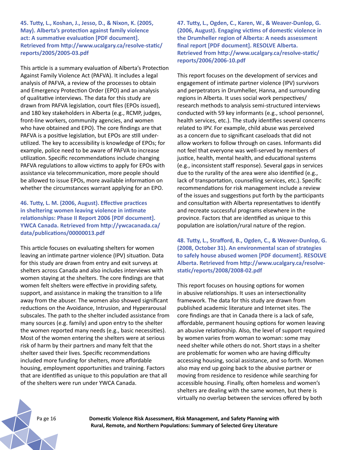**45. Tutty, L., Koshan, J., Jesso, D., & Nixon, K. (2005, May). Alberta's protection against family violence act: A summative evaluation [PDF document]. Retrieved from http://www.ucalgary.ca/resolve-static/ reports/2005/2005-03.pdf**

This article is a summary evaluation of Alberta's Protection Against Family Violence Act (PAFVA). It includes a legal analysis of PAFVA, a review of the processes to obtain and Emergency Protection Order (EPO) and an analysis of qualitative interviews. The data for this study are drawn from PAFVA legislation, court files (EPOs issued), and 180 key stakeholders in Alberta (e.g., RCMP, judges, front-line workers, community agencies, and women who have obtained and EPO). The core findings are that PAFVA is a positive legislation, but EPOs are still underutilized. The key to accessibility is knowledge of EPOs; for example, police need to be aware of PAFVA to increase utilization. Specific recommendations include changing PAFVA regulations to allow victims to apply for EPOs with assistance via telecommunication, more people should be allowed to issue EPOs, more available information on whether the circumstances warrant applying for an EPO.

**46. Tutty, L. M. (2006, August). Effective practices in sheltering women leaving violence in intimate relationships: Phase II Report 2006 [PDF document]. YWCA Canada. Retrieved from http://ywcacanada.ca/ data/publications/00000013.pdf**

This article focuses on evaluating shelters for women leaving an intimate partner violence (IPV) situation. Data for this study are drawn from entry and exit surveys at shelters across Canada and also includes interviews with women staying at the shelters. The core findings are that women felt shelters were effective in providing safety, support, and assistance in making the transition to a life away from the abuser. The women also showed significant reductions on the Avoidance, Intrusion, and Hyperarousal subscales. The path to the shelter included assistance from many sources (e.g. family) and upon entry to the shelter the women reported many needs (e.g., basic necessities). Most of the women entering the shelters were at serious risk of harm by their partners and many felt that the shelter saved their lives. Specific recommendations included more funding for shelters, more affordable housing, employment opportunities and training. Factors that are identified as unique to this population are that all of the shelters were run under YWCA Canada.

**47. Tutty, L., Ogden, C., Karen, W., & Weaver-Dunlop, G. (2006, August). Engaging victims of domestic violence in the Drumheller region of Alberta: A needs assessment final report [PDF document]. RESOLVE Alberta. Retrieved from http://www.ucalgary.ca/resolve-static/ reports/2006/2006-10.pdf**

This report focuses on the development of services and engagement of intimate partner violence (IPV) survivors and perpetrators in Drumheller, Hanna, and surrounding regions in Alberta. It uses social work perspectives/ research methods to analysis semi-structured interviews conducted with 59 key informants (e.g., school personnel, health services, etc.). The study identifies several concerns related to IPV. For example, child abuse was perceived as a concern due to significant caseloads that did not allow workers to follow through on cases. Informants did not feel that everyone was well-served by members of justice, health, mental health, and educational systems (e.g., inconsistent staff response). Several gaps in services due to the rurality of the area were also identified (e.g., lack of transportation, counselling services, etc.). Specific recommendations for risk management include a review of the issues and suggestions put forth by the participants and consultation with Alberta representatives to identify and recreate successful programs elsewhere in the province. Factors that are identified as unique to this population are isolation/rural nature of the region.

**48. Tutty, L., Strafford, B., Ogden, C., & Weaver-Dunlop, G. (2008, October 31). An environmental scan of strategies to safely house abused women [PDF document]. RESOLVE Alberta. Retrieved from http://www.ucalgary.ca/resolvestatic/reports/2008/2008-02.pdf**

This report focuses on housing options for women in abusive relationships. It uses an intersectionality framework. The data for this study are drawn from published academic literature and Internet sites. The core findings are that in Canada there is a lack of safe, affordable, permanent housing options for women leaving an abusive relationship. Also, the level of support required by women varies from woman to woman: some may need shelter while others do not. Short stays in a shelter are problematic for women who are having difficulty accessing housing, social assistance, and so forth. Women also may end up going back to the abusive partner or moving from residence to residence while searching for accessible housing. Finally, often homeless and women's shelters are dealing with the same women, but there is virtually no overlap between the services offered by both

Pa ge 16 **Domestic Violence Risk Assessment, Risk Management, and Safety Planning with Rural, Remote, and Northern Populations: Summary of Selected Grey Literature**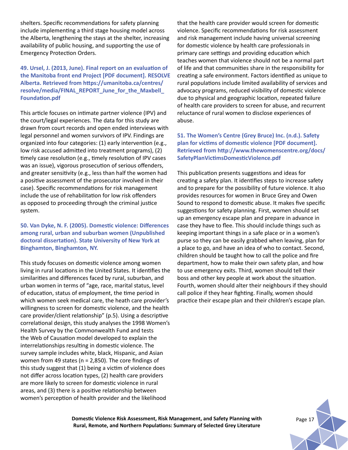shelters. Specific recommendations for safety planning include implementing a third stage housing model across the Alberta, lengthening the stays at the shelter, increasing availability of public housing, and supporting the use of Emergency Protection Orders.

# **49. Ursel, J. (2013, June). Final report on an evaluation of the Manitoba front end Project [PDF document]. RESOLVE Alberta. Retrieved from https://umanitoba.ca/centres/ resolve/media/FINAL\_REPORT\_June\_for\_the\_Maxbell\_ Foundation.pdf**

This article focuses on intimate partner violence (IPV) and the court/legal experiences. The data for this study are drawn from court records and open ended interviews with legal personnel and women survivors of IPV. Findings are organized into four categories: (1) early intervention (e.g., low risk accused admitted into treatment programs), (2) timely case resolution (e.g., timely resolution of IPV cases was an issue), vigorous prosecution of serious offenders, and greater sensitivity (e.g., less than half the women had a positive assessment of the prosecutor involved in their case). Specific recommendations for risk management include the use of rehabilitation for low risk offenders as opposed to proceeding through the criminal justice system.

### **50. Van Dyke, N. F. (2005). Domestic violence: Differences among rural, urban and suburban women (Unpublished doctoral dissertation). State University of New York at Binghamton, Binghamton, NY.**

This study focuses on domestic violence among women living in rural locations in the United States. It identifies the similarities and differences faced by rural, suburban, and urban women in terms of "age, race, marital status, level of education, status of employment, the time period in which women seek medical care, the heath care provider's willingness to screen for domestic violence, and the health care provider/client relationship" (p.5). Using a descriptive correlational design, this study analyses the 1998 Women's Health Survey by the Commonwealth Fund and tests the Web of Causation model developed to explain the interrelationships resulting in domestic violence. The survey sample includes white, black, Hispanic, and Asian women from 49 states (n = 2,850). The core findings of this study suggest that (1) being a victim of violence does not differ across location types, (2) health care providers are more likely to screen for domestic violence in rural areas, and (3) there is a positive relationship between women's perception of health provider and the likelihood

that the health care provider would screen for domestic violence. Specific recommendations for risk assessment and risk management include having universal screening for domestic violence by health care professionals in primary care settings and providing education which teaches women that violence should not be a normal part of life and that communities share in the responsibility for creating a safe environment. Factors identified as unique to rural populations include limited availability of services and advocacy programs, reduced visibility of domestic violence due to physical and geographic location, repeated failure of health care providers to screen for abuse, and recurrent reluctance of rural women to disclose experiences of abuse.

# **51. The Women's Centre (Grey Bruce) Inc. (n.d.). Safety plan for victims of domestic violence [PDF document]. Retrieved from http://www.thewomenscentre.org/docs/ SafetyPlanVictimsDomesticViolence.pdf**

This publication presents suggestions and ideas for creating a safety plan. It identifies steps to increase safety and to prepare for the possibility of future violence. It also provides resources for women in Bruce Grey and Owen Sound to respond to domestic abuse. It makes five specific suggestions for safety planning. First, women should set up an emergency escape plan and prepare in advance in case they have to flee. This should include things such as keeping important things in a safe place or in a women's purse so they can be easily grabbed when leaving, plan for a place to go, and have an idea of who to contact. Second, children should be taught how to call the police and fire department, how to make their own safety plan, and how to use emergency exits. Third, women should tell their boss and other key people at work about the situation. Fourth, women should alter their neighbours if they should call police if they hear fighting. Finally, women should practice their escape plan and their children's escape plan.



**Domestic Violence Risk Assessment, Risk Management, and Safety Planning with Rural, Remote, and Northern Populations: Summary of Selected Grey Literature**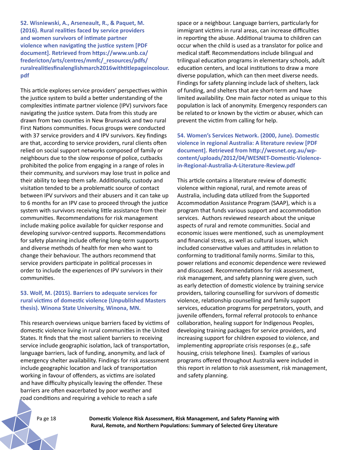**52. Wisniewski, A., Arseneault, R., & Paquet, M. (2016). Rural realities faced by service providers and women survivors of intimate partner violence when navigating the justice system [PDF document]. Retrieved from https://www.unb.ca/ fredericton/arts/centres/mmfc/\_resources/pdfs/ ruralrealitiesfinalenglishmarch2016withtitlepageincolour. pdf**

This article explores service providers' perspectives within the justice system to build a better understanding of the complexities intimate partner violence (IPV) survivors face navigating the justice system. Data from this study are drawn from two counties in New Brunswick and two rural First Nations communities. Focus groups were conducted with 37 service providers and 4 IPV survivors. Key findings are that, according to service providers, rural clients often relied on social support networks composed of family or neighbours due to the slow response of police, cutbacks prohibited the police from engaging in a range of roles in their community, and survivors may lose trust in police and their ability to keep them safe. Additionally, custody and visitation tended to be a problematic source of contact between IPV survivors and their abusers and it can take up to 6 months for an IPV case to proceed through the justice system with survivors receiving little assistance from their communities. Recommendations for risk management include making police available for quicker response and developing survivor-centred supports. Recommendations for safety planning include offering long-term supports and diverse methods of health for men who want to change their behaviour. The authors recommend that service providers participate in political processes in order to include the experiences of IPV survivors in their communities.

### **53. Wolf, M. (2015). Barriers to adequate services for rural victims of domestic violence (Unpublished Masters thesis). Winona State University, Winona, MN.**

This research overviews unique barriers faced by victims of domestic violence living in rural communities in the United States. It finds that the most salient barriers to receiving service include geographic isolation, lack of transportation, language barriers, lack of funding, anonymity, and lack of emergency shelter availability. Findings for risk assessment include geographic location and lack of transportation working in favour of offenders, as victims are isolated and have difficulty physically leaving the offender. These barriers are often exacerbated by poor weather and road conditions and requiring a vehicle to reach a safe

space or a neighbour. Language barriers, particularly for immigrant victims in rural areas, can increase difficulties in reporting the abuse. Additional trauma to children can occur when the child is used as a translator for police and medical staff. Recommendations include bilingual and trilingual education programs in elementary schools, adult education centers, and local institutions to draw a more diverse population, which can then meet diverse needs. Findings for safety planning include lack of shelters, lack of funding, and shelters that are short-term and have limited availability. One main factor noted as unique to this population is lack of anonymity. Emergency responders can be related to or known by the victim or abuser, which can prevent the victim from calling for help.

**54. Women's Services Network. (2000, June). Domestic violence in regional Australia: A literature review [PDF document]. Retrieved from http://wesnet.org.au/wpcontent/uploads/2012/04/WESNET-Domestic-Violencein-Regional-Australia-A-Literature-Review.pdf**

This article contains a literature review of domestic violence within regional, rural, and remote areas of Australia, including data utilized from the Supported Accommodation Assistance Program (SAAP), which is a program that funds various support and accommodation services. Authors reviewed research about the unique aspects of rural and remote communities. Social and economic issues were mentioned, such as unemployment and financial stress, as well as cultural issues, which included conservative values and attitudes in relation to conforming to traditional family norms. Similar to this, power relations and economic dependence were reviewed and discussed. Recommendations for risk assessment, risk management, and safety planning were given, such as early detection of domestic violence by training service providers, tailoring counselling for survivors of domestic violence, relationship counselling and family support services, education programs for perpetrators, youth, and juvenile offenders, formal referral protocols to enhance collaboration, healing support for Indigenous Peoples, developing training packages for service providers, and increasing support for children exposed to violence, and implementing appropriate crisis responses (e.g., safe housing, crisis telephone lines). Examples of various programs offered throughout Australia were included in this report in relation to risk assessment, risk management, and safety planning.

Pa ge 18 **Domestic Violence Risk Assessment, Risk Management, and Safety Planning with Rural, Remote, and Northern Populations: Summary of Selected Grey Literature**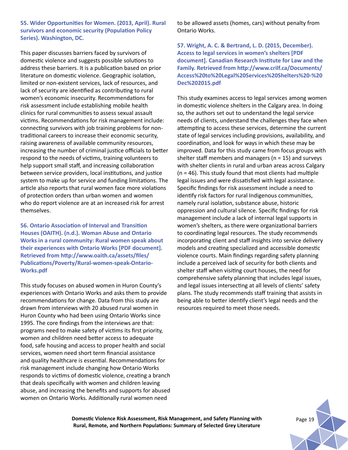**55. Wider Opportunities for Women. (2013, April). Rural survivors and economic security (Population Policy Series). Washington, DC.**

This paper discusses barriers faced by survivors of domestic violence and suggests possible solutions to address these barriers. It is a publication based on prior literature on domestic violence. Geographic isolation, limited or non-existent services, lack of resources, and lack of security are identified as contributing to rural women's economic insecurity. Recommendations for risk assessment include establishing mobile health clinics for rural communities to assess sexual assault victims. Recommendations for risk management include: connecting survivors with job training problems for nontraditional careers to increase their economic security, raising awareness of available community resources, increasing the number of criminal justice officials to better respond to the needs of victims, training volunteers to help support small staff, and increasing collaboration between service providers, local institutions, and justice system to make up for service and funding limitations. The article also reports that rural women face more violations of protection orders than urban women and women who do report violence are at an increased risk for arrest themselves.

**56. Ontario Association of Interval and Transition Houses (OAITH). (n.d.). Woman Abuse and Ontario Works in a rural community: Rural women speak about their experiences with Ontario Works [PDF document]. Retrieved from http://www.oaith.ca/assets/files/ Publications/Poverty/Rural-women-speak-Ontario-Works.pdf**

This study focuses on abused women in Huron County's experiences with Ontario Works and asks them to provide recommendations for change. Data from this study are drawn from interviews with 20 abused rural women in Huron County who had been using Ontario Works since 1995. The core findings from the interviews are that: programs need to make safety of victims its first priority, women and children need better access to adequate food, safe housing and access to proper health and social services, women need short term financial assistance and quality healthcare is essential. Recommendations for risk management include changing how Ontario Works responds to victims of domestic violence, creating a branch that deals specifically with women and children leaving abuse, and increasing the benefits and supports for abused women on Ontario Works. Additionally rural women need

to be allowed assets (homes, cars) without penalty from Ontario Works.

**57. Wright, A. C. & Bertrand, L. D. (2015, December). Access to legal services in women's shelters [PDF document]. Canadian Research Institute for Law and the Family. Retrieved from http://www.crilf.ca/Documents/ Access%20to%20Legal%20Services%20Shelters%20-%20 Dec%202015.pdf**

This study examines access to legal services among women in domestic violence shelters in the Calgary area. In doing so, the authors set out to understand the legal service needs of clients, understand the challenges they face when attempting to access these services, determine the current state of legal services including provisions, availability, and coordination, and look for ways in which these may be improved. Data for this study came from focus groups with shelter staff members and managers ( $n = 15$ ) and surveys with shelter clients in rural and urban areas across Calgary (n = 46). This study found that most clients had multiple legal issues and were dissatisfied with legal assistance. Specific findings for risk assessment include a need to identify risk factors for rural Indigenous communities, namely rural isolation, substance abuse, historic oppression and cultural silence. Specific findings for risk management include a lack of internal legal supports in women's shelters, as there were organizational barriers to coordinating legal resources. The study recommends incorporating client and staff insights into service delivery models and creating specialized and accessible domestic violence courts. Main findings regarding safety planning include a perceived lack of security for both clients and shelter staff when visiting court houses, the need for comprehensive safety planning that includes legal issues, and legal issues intersecting at all levels of clients' safety plans. The study recommends staff training that assists in being able to better identify client's legal needs and the resources required to meet those needs.

**Domestic Violence Risk Assessment, Risk Management, and Safety Planning with** Page 19 **Rural, Remote, and Northern Populations: Summary of Selected Grey Literature**